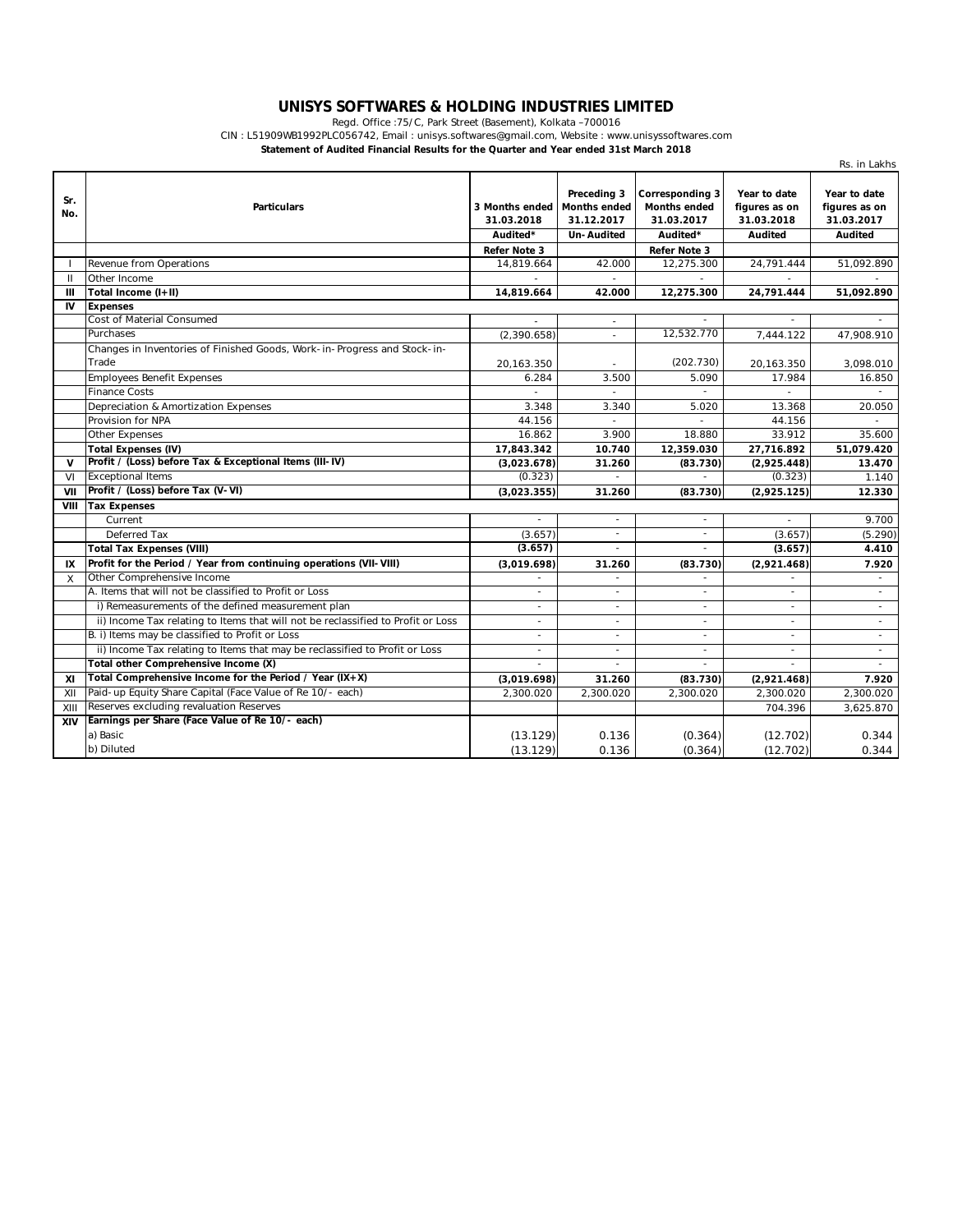## **UNISYS SOFTWARES & HOLDING INDUSTRIES LIMITED** Regd. Office :75/C, Park Street (Basement), Kolkata –700016

CIN : L51909WB1992PLC056742, Email : unisys.softwares@gmail.com, Website : www.unisyssoftwares.com

**Statement of Audited Financial Results for the Quarter and Year ended 31st March 2018**

|              |                                                                                  |                                          |                                                                       |                                                                  |                                                               | Rs. in Lakhs                                                  |
|--------------|----------------------------------------------------------------------------------|------------------------------------------|-----------------------------------------------------------------------|------------------------------------------------------------------|---------------------------------------------------------------|---------------------------------------------------------------|
| Sr.<br>No.   | <b>Particulars</b>                                                               | 3 Months ended<br>31.03.2018<br>Audited* | Preceding 3<br><b>Months ended</b><br>31.12.2017<br><b>Un-Audited</b> | Corresponding 3<br><b>Months ended</b><br>31.03.2017<br>Audited* | Year to date<br>figures as on<br>31.03.2018<br><b>Audited</b> | Year to date<br>figures as on<br>31.03.2017<br><b>Audited</b> |
|              |                                                                                  | Refer Note 3                             |                                                                       | Refer Note 3                                                     |                                                               |                                                               |
|              | Revenue from Operations                                                          | 14,819.664                               | 42.000                                                                | 12,275.300                                                       | 24,791.444                                                    | 51,092.890                                                    |
| $\mathbf{I}$ | Other Income                                                                     |                                          |                                                                       |                                                                  |                                                               |                                                               |
| Ш            | Total Income (I+II)                                                              | 14,819.664                               | 42.000                                                                | 12,275.300                                                       | 24,791.444                                                    | 51,092.890                                                    |
| IV           | <b>Expenses</b>                                                                  |                                          |                                                                       |                                                                  |                                                               |                                                               |
|              | Cost of Material Consumed                                                        |                                          | ÷.                                                                    |                                                                  |                                                               |                                                               |
|              | Purchases                                                                        | (2,390.658)                              | $\sim$                                                                | 12,532.770                                                       | 7,444.122                                                     | 47,908.910                                                    |
|              | Changes in Inventories of Finished Goods, Work-in-Progress and Stock-in-         |                                          |                                                                       |                                                                  |                                                               |                                                               |
|              | Trade                                                                            | 20,163.350                               | $\overline{\phantom{a}}$                                              | (202.730)                                                        | 20,163.350                                                    | 3,098.010                                                     |
|              | <b>Employees Benefit Expenses</b>                                                | 6.284                                    | 3.500                                                                 | 5.090                                                            | 17.984                                                        | 16.850                                                        |
|              | <b>Finance Costs</b>                                                             |                                          |                                                                       |                                                                  |                                                               |                                                               |
|              | Depreciation & Amortization Expenses                                             | 3.348                                    | 3.340                                                                 | 5.020                                                            | 13.368                                                        | 20.050                                                        |
|              | Provision for NPA                                                                | 44.156                                   | $\overline{a}$                                                        |                                                                  | 44.156                                                        |                                                               |
|              | <b>Other Expenses</b>                                                            | 16.862                                   | 3.900                                                                 | 18.880                                                           | 33.912                                                        | 35.600                                                        |
|              | <b>Total Expenses (IV)</b>                                                       | 17,843.342                               | 10.740                                                                | 12,359.030                                                       | 27,716.892                                                    | 51,079.420                                                    |
| $\mathbf{V}$ | Profit / (Loss) before Tax & Exceptional Items (III-IV)                          | (3,023.678)                              | 31.260                                                                | (83.730)                                                         | (2,925.448)                                                   | 13.470                                                        |
| VI           | <b>Exceptional Items</b>                                                         | (0.323)                                  |                                                                       |                                                                  | (0.323)                                                       | 1.140                                                         |
| VII          | Profit / (Loss) before Tax (V-VI)                                                | (3,023.355)                              | 31.260                                                                | (83.730)                                                         | (2,925.125)                                                   | 12.330                                                        |
| VIII         | <b>Tax Expenses</b>                                                              |                                          |                                                                       |                                                                  |                                                               |                                                               |
|              | Current                                                                          |                                          | $\sim$                                                                | $\sim$                                                           | $\sim$                                                        | 9.700                                                         |
|              | Deferred Tax                                                                     | (3.657)                                  | ÷.                                                                    | ÷.                                                               | (3.657)                                                       | (5.290)                                                       |
|              | <b>Total Tax Expenses (VIII)</b>                                                 | (3.657)                                  | $\sim$                                                                | $\sim$                                                           | (3.657)                                                       | 4.410                                                         |
| IX           | Profit for the Period / Year from continuing operations (VII-VIII)               | (3,019.698)                              | 31.260                                                                | (83.730)                                                         | (2,921.468)                                                   | 7.920                                                         |
| X            | Other Comprehensive Income                                                       |                                          |                                                                       |                                                                  |                                                               | $\overline{\phantom{a}}$                                      |
|              | A. Items that will not be classified to Profit or Loss                           |                                          | ٠                                                                     | ÷.                                                               |                                                               | $\overline{\phantom{a}}$                                      |
|              | i) Remeasurements of the defined measurement plan                                |                                          | $\overline{\phantom{a}}$                                              |                                                                  | $\overline{\phantom{a}}$                                      | $\overline{\phantom{a}}$                                      |
|              | ii) Income Tax relating to Items that will not be reclassified to Profit or Loss | $\overline{\phantom{a}}$                 | $\overline{\phantom{a}}$                                              | $\overline{a}$                                                   | $\sim$                                                        | $\overline{\phantom{a}}$                                      |
|              | B. i) Items may be classified to Profit or Loss                                  | $\overline{\phantom{a}}$                 | $\sim$                                                                | $\sim$                                                           | $\overline{\phantom{a}}$                                      | $\overline{\phantom{a}}$                                      |
|              | ii) Income Tax relating to Items that may be reclassified to Profit or Loss      | $\overline{\phantom{a}}$                 | $\overline{\phantom{a}}$                                              | $\sim$                                                           | $\overline{\phantom{a}}$                                      | $\mathcal{L}_{\mathcal{A}}$                                   |
|              | Total other Comprehensive Income (X)                                             |                                          |                                                                       |                                                                  |                                                               |                                                               |
| XI           | Total Comprehensive Income for the Period / Year $(IX+X)$                        | (3,019.698)                              | 31.260                                                                | (83.730)                                                         | (2,921.468)                                                   | 7.920                                                         |
| XII          | Paid-up Equity Share Capital (Face Value of Re 10/- each)                        | 2,300.020                                | 2,300.020                                                             | 2,300.020                                                        | 2,300.020                                                     | 2,300.020                                                     |
| XIII         | Reserves excluding revaluation Reserves                                          |                                          |                                                                       |                                                                  | 704.396                                                       | 3,625.870                                                     |
| XIV          | Earnings per Share (Face Value of Re 10/- each)                                  |                                          |                                                                       |                                                                  |                                                               |                                                               |
|              | a) Basic                                                                         | (13.129)                                 | 0.136                                                                 | (0.364)                                                          | (12.702)                                                      | 0.344                                                         |
|              | b) Diluted                                                                       | (13.129)                                 | 0.136                                                                 | (0.364)                                                          | (12.702)                                                      | 0.344                                                         |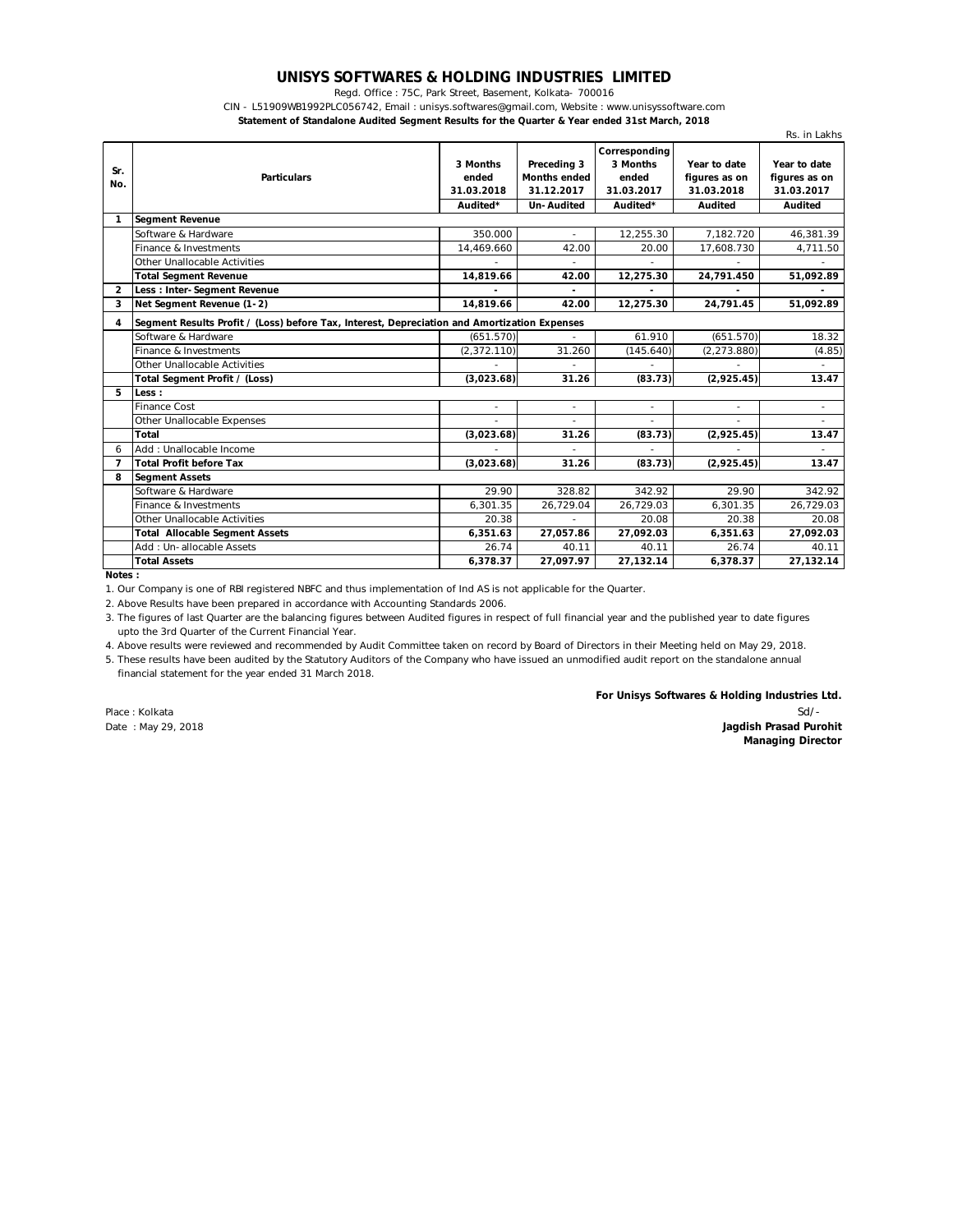## **UNISYS SOFTWARES & HOLDING INDUSTRIES LIMITED**

Regd. Office : 75C, Park Street, Basement, Kolkata- 700016

CIN - L51909WB1992PLC056742, Email : unisys.softwares@gmail.com, Website : www.unisyssoftware.com

**Statement of Standalone Audited Segment Results for the Quarter & Year ended 31st March, 2018**

|                |                                                                                              |             |                     |               |               | Rs. in Lakhs             |
|----------------|----------------------------------------------------------------------------------------------|-------------|---------------------|---------------|---------------|--------------------------|
|                |                                                                                              |             |                     | Corresponding |               |                          |
| Sr.            |                                                                                              | 3 Months    | Preceding 3         | 3 Months      | Year to date  | Year to date             |
| No.            | <b>Particulars</b>                                                                           | ended       | <b>Months ended</b> | ended         | figures as on | figures as on            |
|                |                                                                                              | 31.03.2018  | 31.12.2017          | 31.03.2017    | 31.03.2018    | 31.03.2017               |
|                |                                                                                              | Audited*    | <b>Un-Audited</b>   | Audited*      | Audited       | Audited                  |
| 1              | <b>Segment Revenue</b>                                                                       |             |                     |               |               |                          |
|                | Software & Hardware                                                                          | 350.000     |                     | 12,255.30     | 7.182.720     | 46,381.39                |
|                | Finance & Investments                                                                        | 14,469.660  | 42.00               | 20.00         | 17,608.730    | 4,711.50                 |
|                | Other Unallocable Activities                                                                 |             | ÷,                  |               |               |                          |
|                | <b>Total Segment Revenue</b>                                                                 | 14,819.66   | 42.00               | 12,275.30     | 24,791.450    | 51,092.89                |
| $\overline{2}$ | <b>Less: Inter-Segment Revenue</b>                                                           |             |                     |               |               |                          |
| 3              | Net Segment Revenue (1-2)                                                                    | 14.819.66   | 42.00               | 12,275.30     | 24,791.45     | 51,092.89                |
| 4              | Segment Results Profit / (Loss) before Tax, Interest, Depreciation and Amortization Expenses |             |                     |               |               |                          |
|                | Software & Hardware                                                                          | (651.570)   |                     | 61.910        | (651.570)     | 18.32                    |
|                | Finance & Investments                                                                        | (2,372.110) | 31.260              | (145.640)     | (2, 273.880)  | (4.85)                   |
|                | Other Unallocable Activities                                                                 |             |                     |               |               |                          |
|                | Total Segment Profit / (Loss)                                                                | (3,023.68)  | 31.26               | (83.73)       | (2,925.45)    | 13.47                    |
| 5              | Less :                                                                                       |             |                     |               |               |                          |
|                | <b>Finance Cost</b>                                                                          |             | ÷                   | ٠             | ٠             | $\overline{\phantom{a}}$ |
|                | Other Unallocable Expenses                                                                   |             |                     |               |               |                          |
|                | Total                                                                                        | (3,023.68)  | 31.26               | (83.73)       | (2,925.45)    | 13.47                    |
| 6              | Add: Unallocable Income                                                                      |             |                     |               |               |                          |
| $\overline{7}$ | <b>Total Profit before Tax</b>                                                               | (3,023.68)  | 31.26               | (83.73)       | (2,925.45)    | 13.47                    |
| 8              | <b>Segment Assets</b>                                                                        |             |                     |               |               |                          |
|                | Software & Hardware                                                                          | 29.90       | 328.82              | 342.92        | 29.90         | 342.92                   |
|                | Finance & Investments                                                                        | 6.301.35    | 26,729.04           | 26,729.03     | 6.301.35      | 26,729.03                |
|                | Other Unallocable Activities                                                                 | 20.38       |                     | 20.08         | 20.38         | 20.08                    |
|                | <b>Total Allocable Segment Assets</b>                                                        | 6,351.63    | 27,057.86           | 27,092.03     | 6,351.63      | 27,092.03                |
|                | Add: Un-allocable Assets                                                                     | 26.74       | 40.11               | 40.11         | 26.74         | 40.11                    |
|                | <b>Total Assets</b>                                                                          | 6.378.37    | 27.097.97           | 27,132.14     | 6,378.37      | 27,132.14                |

**Notes :**

1. Our Company is one of RBI registered NBFC and thus implementation of Ind AS is not applicable for the Quarter.

2. Above Results have been prepared in accordance with Accounting Standards 2006.

3. The figures of last Quarter are the balancing figures between Audited figures in respect of full financial year and the published year to date figures upto the 3rd Quarter of the Current Financial Year.

4. Above results were reviewed and recommended by Audit Committee taken on record by Board of Directors in their Meeting held on May 29, 2018.

 financial statement for the year ended 31 March 2018. 5. These results have been audited by the Statutory Auditors of the Company who have issued an unmodified audit report on the standalone annual

**For Unisys Softwares & Holding Industries Ltd.**

Place : Kolkata Sd/- Date : May 29, 2018 **Jagdish Prasad Purohit Managing Director**